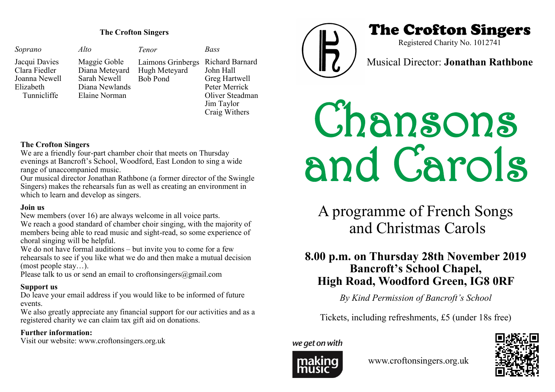| Soprano                                                                     | Alto                                                                              | Tenor                                                 | Bass                                                                                                             |
|-----------------------------------------------------------------------------|-----------------------------------------------------------------------------------|-------------------------------------------------------|------------------------------------------------------------------------------------------------------------------|
| Jacqui Davies<br>Clara Fiedler<br>Joanna Newell<br>Elizabeth<br>Tunnicliffe | Maggie Goble<br>Diana Meteyard<br>Sarah Newell<br>Diana Newlands<br>Elaine Norman | Laimons Grinbergs<br>Hugh Meteyard<br><b>Bob Pond</b> | Richard Barnard<br>John Hall<br>Greg Hartwell<br>Peter Merrick<br>Oliver Steadman<br>Jim Taylor<br>Craig Withers |



## The Crofton Singers **The Crofton Singers**

Registered Charity No. 1012741

Musical Director: **Jonathan Rathbone**

# Chansons and Carols

A programme of French Songs and Christmas Carols

### **8.00 p.m. on Thursday 28th November 2019 Bancroft's School Chapel, High Road, Woodford Green, IG8 0RF**

*By Kind Permission of Bancroft's School*

Tickets, including refreshments, £5 (under 18s free)

we get on with



www.croftonsingers.org.uk



#### **The Crofton Singers**

We are a friendly four-part chamber choir that meets on Thursday evenings at Bancroft's School, Woodford, East London to sing a wide range of unaccompanied music.

Our musical director Jonathan Rathbone (a former director of the Swingle Singers) makes the rehearsals fun as well as creating an environment in which to learn and develop as singers.

#### **Join us**

New members (over 16) are always welcome in all voice parts. We reach a good standard of chamber choir singing, with the majority of members being able to read music and sight-read, so some experience of choral singing will be helpful.

We do not have formal auditions – but invite you to come for a few rehearsals to see if you like what we do and then make a mutual decision (most people stay…).

Please talk to us or send an email to croftonsingers@gmail.com

#### **Support us**

Do leave your email address if you would like to be informed of future events.

We also greatly appreciate any financial support for our activities and as a registered charity we can claim tax gift aid on donations.

#### **Further information:**

Visit our website: www.croftonsingers.org.uk